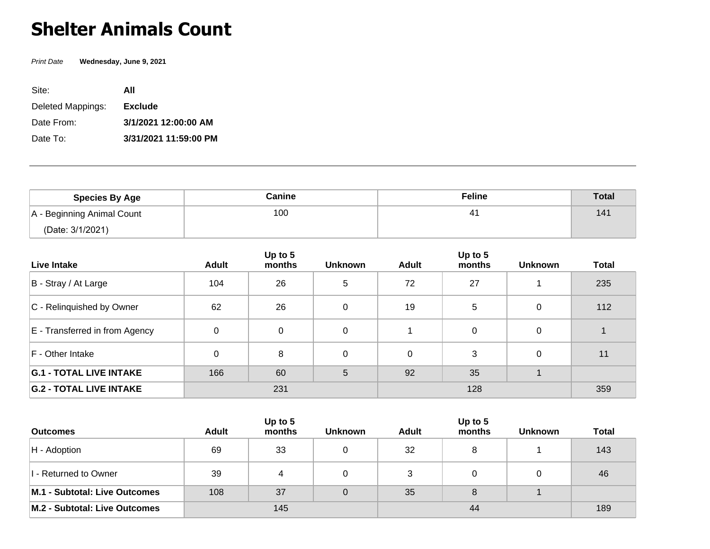## **Shelter Animals Count**

Print Date **Wednesday, June 9, 2021**

| Site:             | ΑII                   |
|-------------------|-----------------------|
| Deleted Mappings: | <b>Exclude</b>        |
| Date From:        | 3/1/2021 12:00:00 AM  |
| Date To:          | 3/31/2021 11:59:00 PM |

| <b>Species By Age</b>      | Canine | <b>Feline</b> | <b>Total</b> |
|----------------------------|--------|---------------|--------------|
| A - Beginning Animal Count | 100    |               | 141          |
| (Date: 3/1/2021)           |        |               |              |

| Live Intake                    | <b>Adult</b> | Up to 5<br>months | <b>Unknown</b> | <b>Adult</b> | Up to 5<br>months | <b>Unknown</b> | <b>Total</b> |
|--------------------------------|--------------|-------------------|----------------|--------------|-------------------|----------------|--------------|
| B - Stray / At Large           | 104          | 26                | 5              | 72           | 27                |                | 235          |
| C - Relinquished by Owner      | 62           | 26                | 0              | 19           | 5                 |                | 112          |
| E - Transferred in from Agency | 0            | 0                 | 0              |              | 0                 |                |              |
| F - Other Intake               | 0            | 8                 | 0              | 0            | 3                 |                | 11           |
| <b>G.1 - TOTAL LIVE INTAKE</b> | 166          | 60                | 5              | 92           | 35                |                |              |
| <b>G.2 - TOTAL LIVE INTAKE</b> | 231          |                   |                |              | 359               |                |              |

|                               | Up to $5$    |        |                |              |        |                |              |
|-------------------------------|--------------|--------|----------------|--------------|--------|----------------|--------------|
| <b>Outcomes</b>               | <b>Adult</b> | months | <b>Unknown</b> | <b>Adult</b> | months | <b>Unknown</b> | <b>Total</b> |
| $H -$ Adoption                | 69           | -33    |                | 32           | 8      |                | 143          |
| I - Returned to Owner         | 39           |        | 0              | 3            |        |                | 46           |
| M.1 - Subtotal: Live Outcomes | 108          | 37     | 0              | 35           | 8      |                |              |
| M.2 - Subtotal: Live Outcomes | 145          |        |                |              | 189    |                |              |